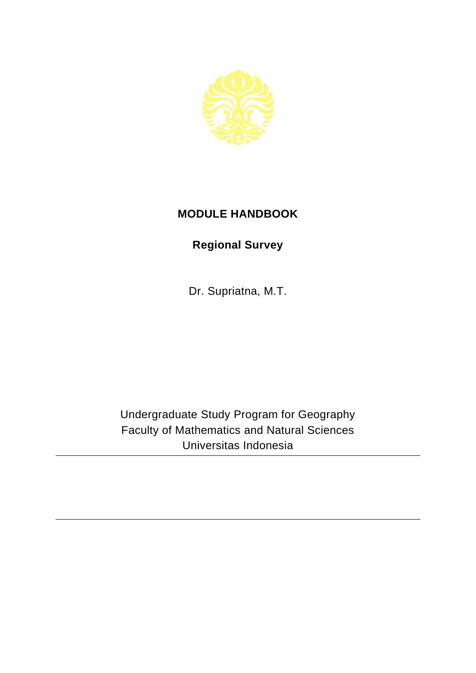

## **MODULE HANDBOOK**

## **Regional Survey**

Dr. Supriatna, M.T.

Undergraduate Study Program for Geography Faculty of Mathematics and Natural Sciences Universitas Indonesia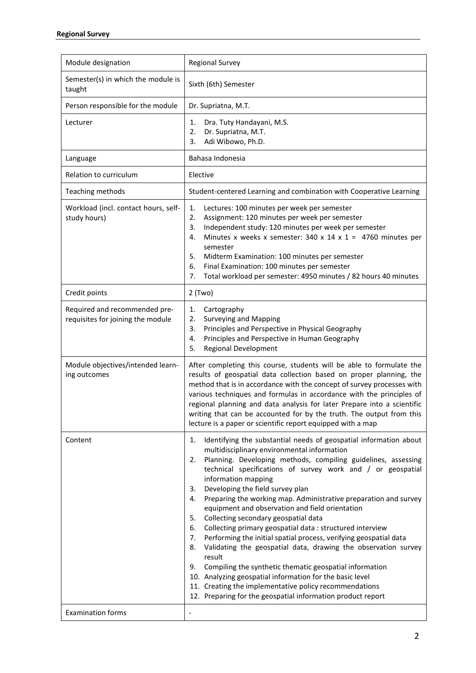| Module designation                                                 | <b>Regional Survey</b>                                                                                                                                                                                                                                                                                                                                                                                                                                                                                                                                                                                                                                                                                                                                                                                                                                                                                                                                                                         |
|--------------------------------------------------------------------|------------------------------------------------------------------------------------------------------------------------------------------------------------------------------------------------------------------------------------------------------------------------------------------------------------------------------------------------------------------------------------------------------------------------------------------------------------------------------------------------------------------------------------------------------------------------------------------------------------------------------------------------------------------------------------------------------------------------------------------------------------------------------------------------------------------------------------------------------------------------------------------------------------------------------------------------------------------------------------------------|
| Semester(s) in which the module is<br>taught                       | Sixth (6th) Semester                                                                                                                                                                                                                                                                                                                                                                                                                                                                                                                                                                                                                                                                                                                                                                                                                                                                                                                                                                           |
| Person responsible for the module                                  | Dr. Supriatna, M.T.                                                                                                                                                                                                                                                                                                                                                                                                                                                                                                                                                                                                                                                                                                                                                                                                                                                                                                                                                                            |
| Lecturer                                                           | Dra. Tuty Handayani, M.S.<br>1.<br>Dr. Supriatna, M.T.<br>2.<br>Adi Wibowo, Ph.D.<br>3.                                                                                                                                                                                                                                                                                                                                                                                                                                                                                                                                                                                                                                                                                                                                                                                                                                                                                                        |
| Language                                                           | Bahasa Indonesia                                                                                                                                                                                                                                                                                                                                                                                                                                                                                                                                                                                                                                                                                                                                                                                                                                                                                                                                                                               |
| Relation to curriculum                                             | Elective                                                                                                                                                                                                                                                                                                                                                                                                                                                                                                                                                                                                                                                                                                                                                                                                                                                                                                                                                                                       |
| Teaching methods                                                   | Student-centered Learning and combination with Cooperative Learning                                                                                                                                                                                                                                                                                                                                                                                                                                                                                                                                                                                                                                                                                                                                                                                                                                                                                                                            |
| Workload (incl. contact hours, self-<br>study hours)               | 1.<br>Lectures: 100 minutes per week per semester<br>2.<br>Assignment: 120 minutes per week per semester<br>Independent study: 120 minutes per week per semester<br>3.<br>Minutes x weeks x semester: 340 x 14 x 1 = 4760 minutes per<br>4.<br>semester<br>5.<br>Midterm Examination: 100 minutes per semester<br>6.<br>Final Examination: 100 minutes per semester<br>Total workload per semester: 4950 minutes / 82 hours 40 minutes<br>7.                                                                                                                                                                                                                                                                                                                                                                                                                                                                                                                                                   |
| Credit points                                                      | $2$ (Two)                                                                                                                                                                                                                                                                                                                                                                                                                                                                                                                                                                                                                                                                                                                                                                                                                                                                                                                                                                                      |
| Required and recommended pre-<br>requisites for joining the module | Cartography<br>1.<br><b>Surveying and Mapping</b><br>2.<br>Principles and Perspective in Physical Geography<br>3.<br>Principles and Perspective in Human Geography<br>4.<br>5.<br><b>Regional Development</b>                                                                                                                                                                                                                                                                                                                                                                                                                                                                                                                                                                                                                                                                                                                                                                                  |
| Module objectives/intended learn-<br>ing outcomes                  | After completing this course, students will be able to formulate the<br>results of geospatial data collection based on proper planning, the<br>method that is in accordance with the concept of survey processes with<br>various techniques and formulas in accordance with the principles of<br>regional planning and data analysis for later Prepare into a scientific<br>writing that can be accounted for by the truth. The output from this<br>lecture is a paper or scientific report equipped with a map                                                                                                                                                                                                                                                                                                                                                                                                                                                                                |
| Content                                                            | Identifying the substantial needs of geospatial information about<br>1.<br>multidisciplinary environmental information<br>Planning. Developing methods, compiling guidelines, assessing<br>2.<br>technical specifications of survey work and / or geospatial<br>information mapping<br>Developing the field survey plan<br>3.<br>Preparing the working map. Administrative preparation and survey<br>4.<br>equipment and observation and field orientation<br>Collecting secondary geospatial data<br>5.<br>Collecting primary geospatial data : structured interview<br>6.<br>Performing the initial spatial process, verifying geospatial data<br>7.<br>Validating the geospatial data, drawing the observation survey<br>8.<br>result<br>Compiling the synthetic thematic geospatial information<br>9.<br>10. Analyzing geospatial information for the basic level<br>11. Creating the implementative policy recommendations<br>12. Preparing for the geospatial information product report |
| <b>Examination forms</b>                                           | $\overline{\phantom{a}}$                                                                                                                                                                                                                                                                                                                                                                                                                                                                                                                                                                                                                                                                                                                                                                                                                                                                                                                                                                       |